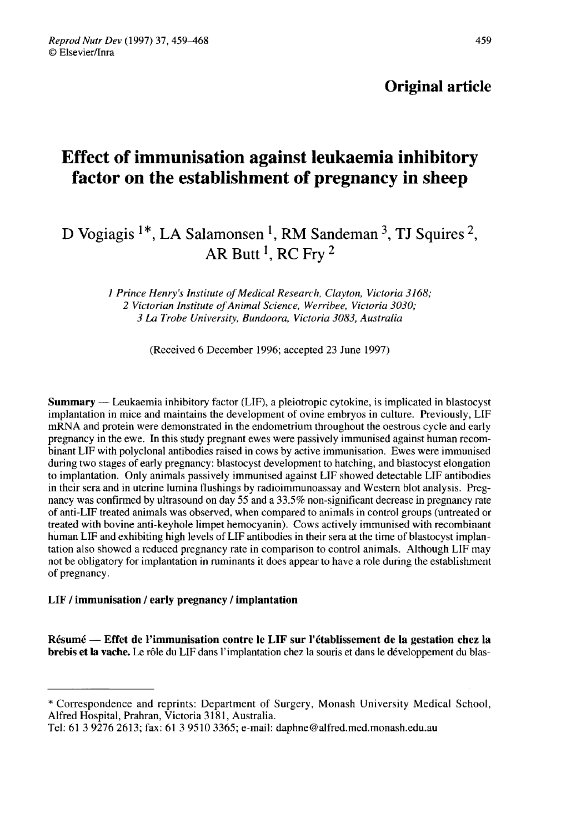## Original article

# Effect of immunisation against leukaemia inhibitory factor on the establishment of pregnancy in sheep

## D Vogiagis  $1^*$ , LA Salamonsen <sup>1</sup>, RM Sandeman <sup>3</sup>, TJ Squires <sup>2</sup>, AR Butt<sup>1</sup>, RC Fry<sup>2</sup>

1 Prince Henry's Institute of Medical Research, Clayton, Victoria 3168; 2 Victorian Institute of Animal Science, Werribee, Victoria 3030; 3 La Trobe University, Bundoora, Victoria 3083, Australia

(Received 6 December 1996; accepted 23 June 1997)

Summary ― Leukaemia inhibitory factor (LIF), a pleiotropic cytokine, is implicated in blastocyst implantation in mice and maintains the development of ovine embryos in culture. Previously, LIF mRNA and protein were demonstrated in the endometrium throughout the oestrous cycle and early pregnancy in the ewe. In this study pregnant ewes were passively immunised against human recombinant LIF with polyclonal antibodies raised in cows by active immunisation. Ewes were immunised during two stages of early pregnancy: blastocyst development to hatching, and blastocyst elongation to implantation. Only animals passively immunised against LIF showed detectable LIF antibodies in their sera and in uterine lumina flushings by radioimmunoassay and Western blot analysis. Pregnancy was confirmed by ultrasound on day 55 and a 33.5% non-significant decrease in pregnancy rate of anti-LIF treated animals was observed, when compared to animals in control groups (untreated or treated with bovine anti-keyhole limpet hemocyanin). Cows actively immunised with recombinant human LIF and exhibiting high levels of LIF antibodies in their sera at the time of blastocyst implantation also showed a reduced pregnancy rate in comparison to control animals. Although LIF may not be obligatory for implantation in ruminants it does appear to have a role during the establishment of pregnancy.

#### LIF / immunisation / early pregnancy / implantation

Résumé ― Effet de l'immunisation contre le LIF sur l'établissement de la gestation chez la brebis et la vache. Le rôle du LIF dans l'implantation chez la souris et dans le développement du blas-

<sup>\*</sup> Correspondence and reprints: Department of Surgery, Monash University Medical School, Alfred Hospital, Prahran, Victoria 3181, Australia.

Tel: 61 3 9276 2613; fax: 61 3 9510 3365; e-mail: daphne@alfred.med.monash.edu.au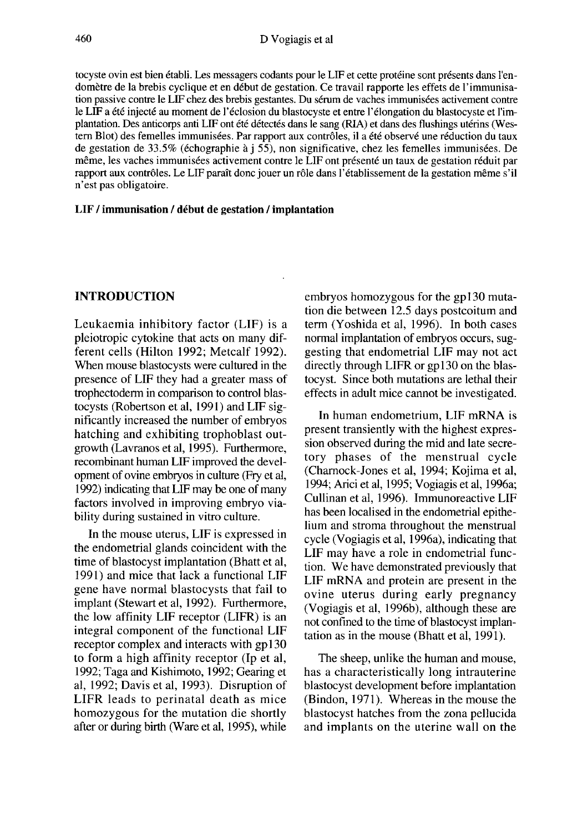tocyste ovin est bien établi. Les messagers codants pour le LIF et cette protéine sont présents dans l'endomètre de la brebis cyclique et en début de gestation. Ce travail rapporte les effets de l'immunisation passive contre le LIF chez des brebis gestantes. Du sérum de vaches immunisées activement contre le LIF a été injecté au moment de l'éclosion du blastocyste et entre l'élongation du blastocyste et l'implantation. Des anticorps anti LIF ont été détectés dans le sang (RIA) et dans des flushings utérins (Wes tern Blot) des femelles immunisées. Par rapport aux contrôles, il a été observé une réduction du taux de gestation de 33.5% (échographie à j 55), non significative, chez les femelles immunisées. De même, les vaches immunisées activement contre le LIF ont présenté un taux de gestation réduit par rapport aux contrôles. Le LIF paraît donc jouer un rôle dans l'établissement de la gestation même s'il n'est pas obligatoire.

#### LIF / immunisation / début de gestation / implantation

#### INTRODUCTION

Leukaemia inhibitory factor (LIF) is a pleiotropic cytokine that acts on many different cells (Hilton 1992; Metcalf 1992). When mouse blastocysts were cultured in the presence of LIF they had a greater mass of trophectodenn in comparison to control blastocysts (Robertson et al, 1991) and LIF significantly increased the number of embryos hatching and exhibiting trophoblast outgrowth (Lavranos et al, 1995). Furthermore, recombinant human LIF improved the development of ovine embryos in culture (Fry et al, 1992) indicating that LIF may be one of many factors involved in improving embryo viability during sustained in vitro culture.

In the mouse uterus, LIF is expressed in the endometrial glands coincident with the time of blastocyst implantation (Bhatt et al, 1991) and mice that lack a functional LIF gene have normal blastocysts that fail to implant (Stewart et al, 1992). Furthermore, the low affinity LIF receptor (LIFR) is an integral component of the functional LIF receptor complex and interacts with gp130 to form a high affinity receptor (Ip et al, 1992; Taga and Kishimoto, 1992; Gearing et al, 1992; Davis et al, 1993). Disruption of LIFR leads to perinatal death as mice homozygous for the mutation die shortly after or during birth (Ware et al, 1995), while

embryos homozygous for the gp 130 mutation die between 12.5 days postcoitum and term (Yoshida et al, 1996). In both cases normal implantation of embryos occurs, suggesting that endometrial LIF may not act directly through LIFR or gp130 on the blastocyst. Since both mutations are lethal their effects in adult mice cannot be investigated.

In human endometrium, LIF mRNA is present transiently with the highest expression observed during the mid and late secretory phases of the menstrual cycle (Charnock-Jones et al, 1994; Kojima et al, 1994; Arici et al, 1995; Vogiagis et al, 1996a; Cullinan et al, 1996). Immunoreactive LIF has been localised in the endometrial epithelium and stroma throughout the menstrual cycle (Vogiagis et al, 1996a), indicating that LIF may have a role in endometrial function. We have demonstrated previously that LIF mRNA and protein are present in the ovine uterus during early pregnancy (Vogiagis et al, 1996b), although these are not confined to the time of blastocyst implantation as in the mouse (Bhatt et al, 1991).

The sheep, unlike the human and mouse, has a characteristically long intrauterine blastocyst development before implantation (Bindon, 1971). Whereas in the mouse the blastocyst hatches from the zona pellucida and implants on the uterine wall on the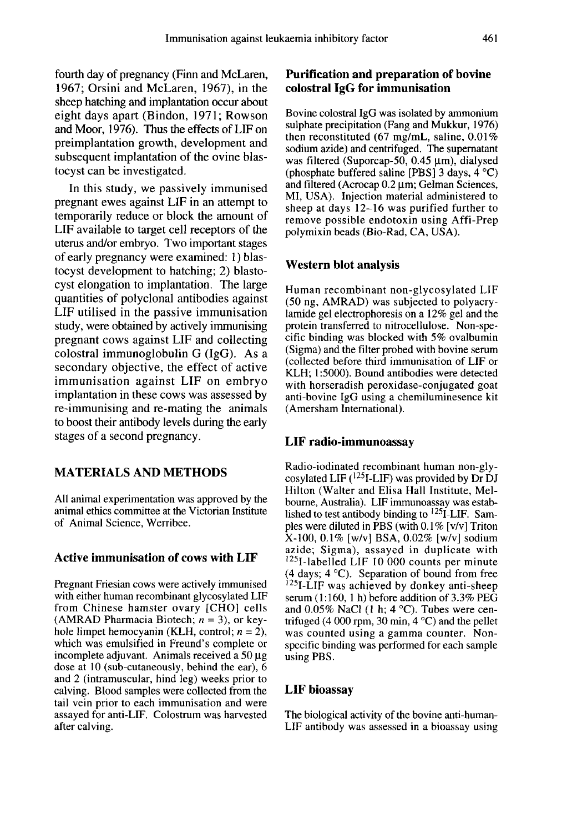fourth day of pregnancy (Finn and McLaren, 1967; Orsini and McLaren, 1967), in the sheep hatching and implantation occur about eight days apart (Bindon, 1971; Rowson and Moor, 1976). Thus the effects of LIF on preimplantation growth, development and subsequent implantation of the ovine blastocyst can be investigated.

In this study, we passively immunised pregnant ewes against LIF in an attempt to temporarily reduce or block the amount of LIF available to target cell receptors of the uterus and/or embryo. Two important stages of early pregnancy were examined: 1 ) blastocyst development to hatching; 2) blastocyst elongation to implantation. The large quantities of polyclonal antibodies against LIF utilised in the passive immunisation study, were obtained by actively immunising pregnant cows against LIF and collecting colostral immunoglobulin G (IgG). As a secondary objective, the effect of active immunisation against LIF on embryo implantation in these cows was assessed by re-immunising and re-mating the animals to boost their antibody levels during the early stages of a second pregnancy.

## MATERIALS AND METHODS

All animal experimentation was approved by the animal ethics committee at the Victorian Institute of Animal Science, Werribee.

#### Active immunisation of cows with LIF

Pregnant Friesian cows were actively immunised with either human recombinant glycosylated LIF from Chinese hamster ovary [CHO] cells (AMRAD Pharmacia Biotech;  $n = 3$ ), or keyhole limpet hemocyanin (KLH, control;  $n = 2$ ), which was emulsified in Freund's complete or incomplete adjuvant. Animals received a  $50 \mu$ g dose at 10 (sub-cutaneously, behind the ear), 6 and 2 (intramuscular, hind leg) weeks prior to calving. Blood samples were collected from the tail vein prior to each immunisation and were assayed for anti-LIF. Colostrum was harvested after calving.

## Purification and preparation of bovine colostral IgG for immunisation

Bovine colostral IgG was isolated by ammonium sulphate precipitation (Fang and Mukkur, 1976) then reconstituted  $(67 \text{ mg/mL}, \text{saline}, 0.01\%)$ <br>sodium azide) and centrifuged. The supernatant was filtered (Suporcap-50, 0.45  $\mu$ m), dialysed (phosphate buffered saline [PBS] 3 days, 4 °C) and filtered (Acrocap  $0.2 \mu m$ ; Gelman Sciences, MI, USA). Injection material administered to sheep at days 12-16 was purified further to remove possible endotoxin using Affi-Prep polymixin beads (Bio-Rad, CA, USA).

#### Western blot analysis

Human recombinant non-glycosylated LIF (50 ng, AMRAD) was subjected to polyacrylamide gel electrophoresis on a 12% gel and the protein transferred to nitrocellulose. Non-specific binding was blocked with 5% ovalbumin (Sigma) and the filter probed with bovine serum (collected before third immunisation of LIF or KLH; 1:5000). Bound antibodies were detected with horseradish peroxidase-conjugated goat anti-bovine IgG using a chemiluminesence kit (Amersham International).

#### LIF radio-immunoassay

Radio-iodinated recombinant human non-glycosylated LIF  $(^{125}I$ -LIF) was provided by Dr DJ Hilton (Walter and Elisa Hall Institute, Melboume, Australia). LIF immunoassay was established to test antibody binding to  ${}^{125}I$ -LIF. Samples were diluted in PBS (with  $0.1\%$  [v/v] Triton X-100, 0.1% [w/v] BSA, 0.02% [w/v] sodium azide; Sigma), assayed in duplicate with <sup>125</sup>I-labelled LIF 10 000 counts per minute (4 days; 4 °C). Separation of bound from free Aziot, 0.1 % (ww) bosh, 0.02 % (w) solarities and azide; Signa), assayed in duplicate with<br><sup>125</sup>1-labelled LIF 10 000 counts per minute<br>(4 days; 4 °C). Separation of bound from free<br><sup>125</sup>1-LIF was achieved by donkey antiand  $0.05\%$  NaCl (1 h; 4 °C). Tubes were centrifuged (4 000 rpm, 30 min,  $4^{\circ}$ C) and the pellet was counted using a gamma counter. Nonspecific binding was performed for each sample using PBS.

#### LIF bioassay

The biological activity of the bovine anti-human-LIF antibody was assessed in a bioassay using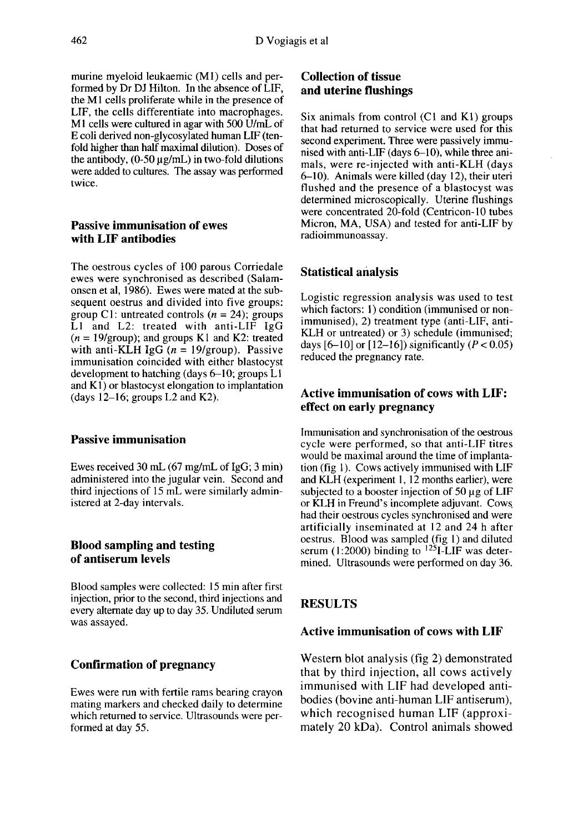murine myeloid leukaemic (M1) cells and performed by Dr DJ Hilton. In the absence of LIF, the M1 cells proliferate while in the presence of LIF, the cells differentiate into macrophages. M<sub>1</sub> cells were cultured in agar with 500 U/mL of E coli derived non-glycosylated human LIF (tenfold higher than half maximal dilution). Doses of the antibody,  $(0.50 \mu g/mL)$  in two-fold dilutions were added to cultures. The assay was performed twice.

#### Passive immunisation of ewes with LIF antibodies

The oestrous cycles of 100 parous Corriedale<br>ewes were synchronised as described (Salamonsen et al, 1986). Ewes were mated at the subsequent oestrus and divided into five groups: group C1: untreated controls  $(n = 24)$ ; groups LI and L2: treated with anti-LIF IgG  $(n = 19$ /group); and groups K l and K2: treated with anti-KLH IgG  $(n = 19$ /group). Passive immunisation coincided with either blastocyst development to hatching (days  $6-10$ ; groups  $L1$ and  $K1$ ) or blastocyst elongation to implantation (days  $12-16$ ; groups L2 and K2).

#### Passive immunisation

Ewes received 30 mL (67 mg/mL of IgG; 3 min) administered into the jugular vein. Second and third injections of 15 mL were similarly administered at 2-day intervals.

#### Blood sampling and testing of antiserum levels

Blood samples were collected: 15 min after first injection, prior to the second, third injections and every alternate day up to day 35. Undiluted serum was assayed.

## Confirmation of pregnancy

Ewes were run with fertile rams bearing crayon mating markers and checked daily to determine which returned to service. Ultrasounds were performed at day 55.

## Collection of tissue and uterine flushings

Six animals from control (C1 and K1) groups that had returned to service were used for this second experiment. Three were passively immunised with anti-LIF (days 6-10), while three animals, were re-injected with anti-KLH (days 6-10). Animals were killed (day 12), their uteri flushed and the presence of a blastocyst was determined microscopically. Uterine flushings were concentrated 20-fold (Centricon-10 tubes Micron, MA, USA) and tested for anti-LIF by radioimmunoassay.

### Statistical analysis

Logistic regression analysis was used to test which factors: 1) condition (immunised or nonimmunised), 2) treatment type (anti-LIF, anti-KLH or untreated) or 3) schedule (immunised; days  $[6-10]$  or  $[12-16]$ ) significantly  $(P < 0.05)$ reduced the pregnancy rate.

## Active immunisation of cows with LIF: effect on early pregnancy

Immunisation and synchronisation of the oestrous cycle were performed, so that anti-LIF titres would be maximal around the time of implantation (fig 1). Cows actively immunised with LIF and KLH (experiment 1, 12 months earlier), were subjected to a booster injection of  $50 \mu$ g of LIF or KLH in Freund's incomplete adjuvant. Cows. had their oestrous cycles synchronised and were artificially inseminated at 12 and 24 h after oestrus. Blood was sampled (fig l) and diluted serum (1:2000) binding to  $125I$ -LIF was determined. Ultrasounds were performed on day 36.

## RESULTS

## Active immunisation of cows with LIF

Western blot analysis (fig 2) demonstrated that by third injection, all cows actively immunised with LIF had developed antibodies (bovine anti-human LIF antiserum), which recognised human LIF (approximately 20 kDa). Control animals showed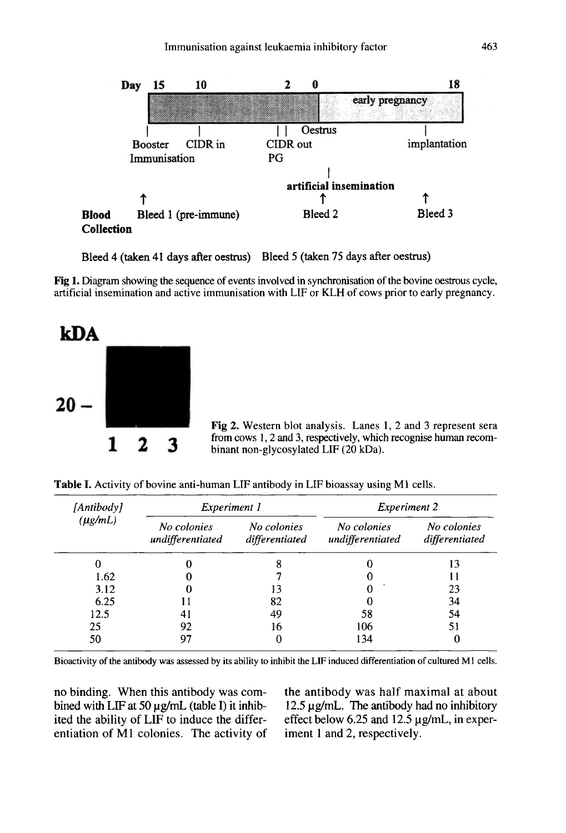

Bleed 4 (taken 41 days after oestrus) Bleed 5 (taken 75 days after oestrus)

Fig 1. Diagram showing the sequence of events involved in synchronisation of the bovine oestrous cycle, artificial insemination and active immunisation with LIF or KLH of cows prior to early pregnancy.



Fig 2. Western blot analysis. Lanes 1, 2 and 3 represent sera from cows 1, 2 and 3, respectively, which recognise human recombinant non-glycosylated LIF (20 kDa).

Table I. Activity of bovine anti-human LIF antibody in LIF bioassay using M1 cells.

| [Antibody]<br>$(\mu g/mL)$ | Experiment 1                    |                               | Experiment 2                    |                               |
|----------------------------|---------------------------------|-------------------------------|---------------------------------|-------------------------------|
|                            | No colonies<br>undifferentiated | No colonies<br>differentiated | No colonies<br>undifferentiated | No colonies<br>differentiated |
|                            |                                 | 8                             |                                 | 13                            |
| 1.62                       |                                 |                               |                                 |                               |
| 3.12                       |                                 | 13                            | $\Omega$                        | 23                            |
| 6.25                       | 11                              | 82                            |                                 | 34                            |
| 12.5                       | 41                              | 49                            | 58                              | 54                            |
| 25                         | 92                              | 16                            | 106                             | 51                            |
| 50                         | 97                              |                               | 134                             |                               |

Bioactivity of the antibody was assessed by its ability to inhibit the LIF induced differentiation of cultured M1 cells.

no binding. When this antibody was combined with LIF at 50  $\mu$ g/mL (table I) it inhibited the ability of LIF to induce the differentiation of Ml colonies. The activity of the antibody was half maximal at about 12.5 pg/mL. The antibody had no inhibitory effect below 6.25 and 12.5  $\mu$ g/mL, in experiment 1 and 2, respectively.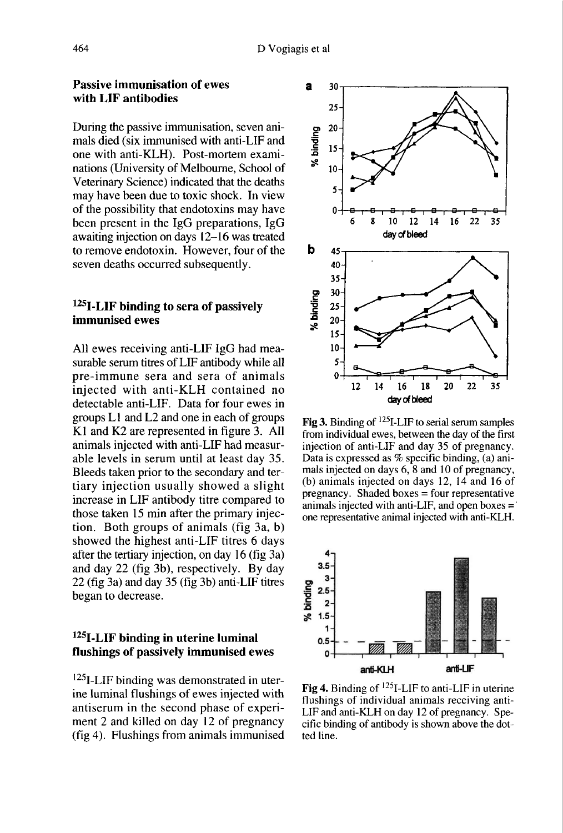#### Passive immunisation of ewes with LIF antibodies

During the passive immunisation, seven animals died (six immunised with anti-LIF and one with anti-KLH). Post-mortem examinations (University of Melbourne, School of Veterinary Science) indicated that the deaths may have been due to toxic shock. In view of the possibility that endotoxins may have been present in the IgG preparations, IgG awaiting injection on days 12-16 was treated to remove endotoxin. However, four of the seven deaths occurred subsequently.

## $125$ I-LIF binding to sera of passively immunised ewes

All ewes receiving anti-LIF IgG had measurable serum titres of LIF antibody while all pre-immune sera and sera of animals injected with anti-KLH contained no detectable anti-LIF. Data for four ewes in groups L I and L2 and one in each of groups K1 and K2 are represented in figure 3. All animals injected with anti-LIF had measurable levels in serum until at least day 35. Bleeds taken prior to the secondary and tertiary injection usually showed a slight increase in LIF antibody titre compared to those taken 15 min after the primary injection. Both groups of animals (fig 3a, b) showed the highest anti-LIF titres 6 days after the tertiary injection, on day 16 (fig 3a) and day 22 (fig 3b), respectively. By day 22 (fig 3a) and day 35 (fig 3b) anti-LIF titres began to decrease.

## 125 I-LIF binding in uterine luminal flushings of passively immunised ewes

<sup>125</sup>I-LIF binding was demonstrated in uterine luminal flushings of ewes injected with antiserum in the second phase of experi ment 2 and killed on day 12 of pregnancy (fig 4). Flushings from animals immunised



Fig 3. Binding of  $^{125}$ I-LIF to serial serum samples from individual ewes, between the day of the first injection of anti-LIF and day 35 of pregnancy. Data is expressed as % specific binding, (a) animals injected on days 6, 8 and 10 of pregnancy, (b) animals injected on days 12, 14 and 16 of pregnancy. Shaded boxes = four representative animals injected with anti-LIF, and open boxes  $=$ one representative animal injected with anti-KLH.



Fig 4. Binding of  $^{125}$ I-LIF to anti-LIF in uterine flushings of individual animals receiving anti-LIF and anti-KLH on day 12 of pregnancy. Specific binding of antibody is shown above the dotted line.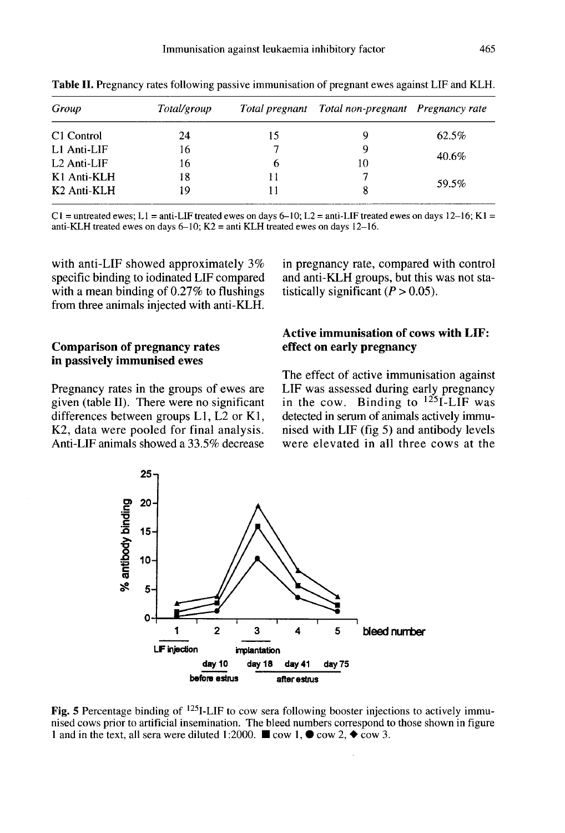| Group                   | Total/group |    | Total pregnant Total non-pregnant Pregnancy rate |       |
|-------------------------|-------------|----|--------------------------------------------------|-------|
| C <sub>1</sub> Control  | 24          | 15 |                                                  | 62.5% |
| L1 Anti-LIF             | 16          |    | 9                                                | 40.6% |
| $L2$ Anti-LIF           | 16          | b  | 10                                               |       |
| K1 Anti-KLH             | 18          |    |                                                  | 59.5% |
| K <sub>2</sub> Anti-KLH | 19          |    |                                                  |       |

Table II. Pregnancy rates following passive immunisation of pregnant ewes against LIF and KLH.

C1 = untreated ewes; L1 = anti-LIF treated ewes on days 6–10; L2 = anti-LIF treated ewes on days 12–16; K1 = anti-KLH treated ewes on days  $6-10$ ; K2 = anti KLH treated ewes on days 12-16.

with anti-LIF showed approximately 3% specific binding to iodinated LIF compared with a mean binding of 0.27% to flushings from three animals injected with anti-KLH.

## Comparison of pregnancy rates in passively immunised ewes

Pregnancy rates in the groups of ewes are given (table II). There were no significant differences between groups  $L1$ ,  $L2$  or  $K1$ , K2, data were pooled for final analysis. Anti-LIF animals showed a 33.5% decrease in pregnancy rate, compared with control and anti-KLH groups, but this was not statistically significant  $(P > 0.05)$ .

## Active immunisation of cows with LIF: effect on early pregnancy

The effect of active immunisation against LIF was assessed during early pregnancy in the cow. Binding to  $125I$ -LIF was detected in serum of animals actively immunised with LIF (fig 5) and antibody levels were elevated in all three cows at the



Fig. 5 Percentage binding of <sup>125</sup>I-LIF to cow sera following booster injections to actively immunised cows prior to artificial insemination. The bleed numbers correspond to those shown in figure 1 and in the text, all sera were diluted 1:2000.  $\blacksquare$  cow 1,  $\blacklozenge$  cow 2,  $\blacklozenge$  cow 3.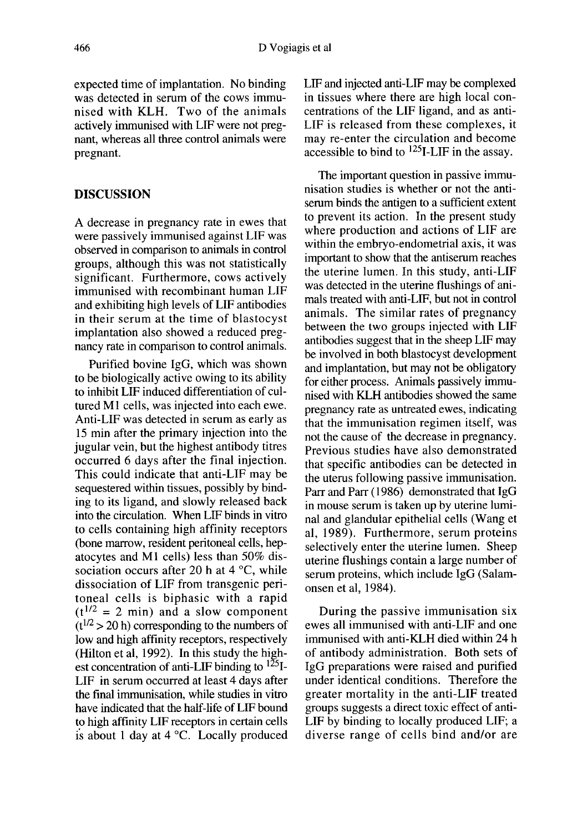expected time of implantation. No binding was detected in serum of the cows immunised with KLH. Two of the animals actively immunised with LIF were not pregnant, whereas all three control animals were pregnant.

### DISCUSSION

A decrease in pregnancy rate in ewes that were passively immunised against LIF was observed in comparison to animals in control groups, although this was not statistically significant. Furthermore, cows actively immunised with recombinant human LIF and exhibiting high levels of LIF antibodies in their serum at the time of blastocyst implantation also showed a reduced pregnancy rate in comparison to control animals.

Purified bovine IgG, which was shown to be biologically active owing to its ability to inhibit LIF induced differentiation of cultured M1 cells, was injected into each ewe. Anti-LIF was detected in serum as early as 15 min after the primary injection into the jugular vein, but the highest antibody titres occurred 6 days after the final injection. This could indicate that anti-LIF may be sequestered within tissues, possibly by binding to its ligand, and slowly released back into the circulation. When LIF binds in vitro to cells containing high affinity receptors (bone marrow, resident peritoneal cells, hepatocytes and M1 cells) less than 50% dissociation occurs after 20 h at  $4^{\circ}$ C, while dissociation of LIF from transgenic peritoneal cells is biphasic with a rapid  $(t^{1/2} = 2$  min) and a slow component  $(t^{1/2} > 20$  h) corresponding to the numbers of low and high affinity receptors, respectively<br>(Hilton et al, 1992). In this study the highest concentration of anti-LIF binding to  $125$ I-LIF in serum occurred at least 4 days after the final immunisation, while studies in vitro have indicated that the half-life of LIF bound to high affinity LIF receptors in certain cells is about 1 day at 4 °C. Locally produced LIP and injected anti-LIF may be complexed in tissues where there are high local concentrations of the LIF ligand, and as anti-LIF is released from these complexes, it may re-enter the circulation and become accessible to bind to  $^{125}$ I-LIF in the assay.

The important question in passive immunisation studies is whether or not the antiserum binds the antigen to a sufficient extent to prevent its action. In the present study where production and actions of LIF are within the embryo-endometrial axis, it was important to show that the antiserum reaches the uterine lumen. In this study, anti-LIF was detected in the uterine flushings of animals treated with anti-LIF, but not in control animals. The similar rates of pregnancy between the two groups injected with LIF antibodies suggest that in the sheep LIF may be involved in both blastocyst development and implantation, but may not be obligatory for either process. Animals passively immunised with KLH antibodies showed the same pregnancy rate as untreated ewes, indicating that the immunisation regimen itself, was not the cause of the decrease in pregnancy. Previous studies have also demonstrated that specific antibodies can be detected in the uterus following passive immunisation. Parr and Parr (1986) demonstrated that IgG in mouse serum is taken up by uterine luminal and glandular epithelial cells (Wang et al, 1989). Furthermore, serum proteins selectively enter the uterine lumen. Sheep uterine flushings contain a large number of serum proteins, which include IgG (Salamonsen et al, 1984).

During the passive immunisation six ewes all immunised with anti-LIF and one immunised with anti-KLH died within 24 h of antibody administration. Both sets of IgG preparations were raised and purified under identical conditions. Therefore the greater mortality in the anti-LIF treated groups suggests a direct toxic effect of anti-LIF by binding to locally produced LIF; a diverse range of cells bind and/or are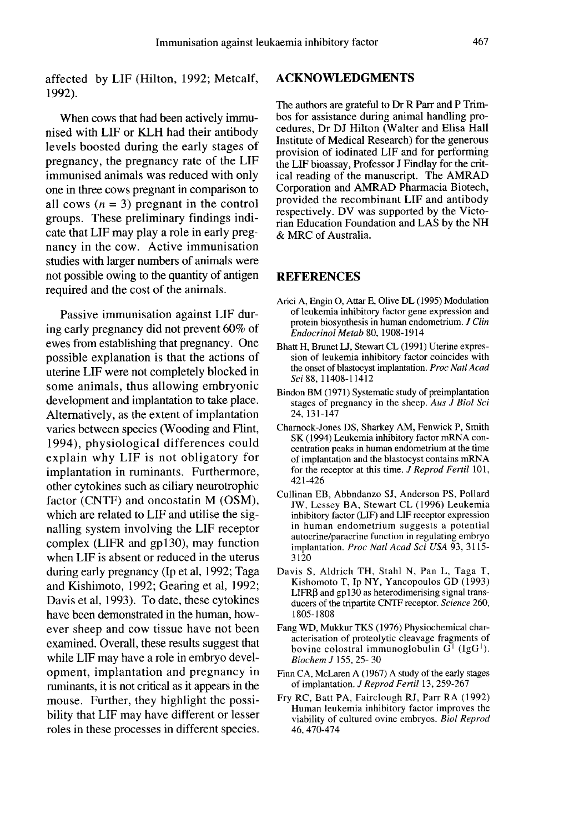affected by LIF (Hilton, 1992; Metcalf, 1992).

When cows that had been actively immunised with LIF or KLH had their antibody levels boosted during the early stages of pregnancy, the pregnancy rate of the LIF immunised animals was reduced with only one in three cows pregnant in comparison to all cows  $(n = 3)$  pregnant in the control groups. These preliminary findings indicate that LIF may play a role in early pregnancy in the cow. Active immunisation studies with larger numbers of animals were not possible owing to the quantity of antigen required and the cost of the animals.

Passive immunisation against LIF during early pregnancy did not prevent 60% of ewes from establishing that pregnancy. One possible explanation is that the actions of uterine LIF were not completely blocked in some animals, thus allowing embryonic development and implantation to take place. Alternatively, as the extent of implantation varies between species (Wooding and Flint, 1994), physiological differences could explain why LIF is not obligatory for implantation in ruminants. Furthermore, other cytokines such as ciliary neurotrophic factor (CNTF) and oncostatin M (OSM), which are related to LIF and utilise the signalling system involving the LIF receptor complex (LIFR and gp130), may function when LIF is absent or reduced in the uterus during early pregnancy (Ip et al, 1992; Taga and Kishimoto, 1992; Gearing et al, 1992; Davis et al, 1993). To date, these cytokines have been demonstrated in the human, however sheep and cow tissue have not been examined. Overall, these results suggest that while LIF may have a role in embryo development, implantation and pregnancy in ruminants, it is not critical as it appears in the mouse. Further, they highlight the possibility that LIF may have different or lesser roles in these processes in different species.

#### ACKNOWLEDGMENTS

The authors are grateful to Dr R Parr and P Trimbos for assistance during animal handling procedures, Dr DJ Hilton (Walter and Elisa Hall Institute of Medical Research) for the generous provision of iodinated LIF and for performing the LIF bioassay, Professor J Findlay for the critical reading of the manuscript. The AMRAD Corporation and AMRAD Pharmacia Biotech, provided the recombinant LIF and antibody respectively. DV was supported by the Victorian Education Foundation and LAS by the NH & MRC of Australia.

### REFERENCES

- Arici A, Engin 0, Attar E, Olive DL (1995) Modulation of leukemia inhibitory factor gene expression and protein biosynthesis in human endometrium. J Clin Endocrinol Metab 80, 1908-1914
- Bhatt H, Brunet LJ, Stewart CL (1991) Uterine expression of leukemia inhibitory factor coincides with the onset of blastocyst implantation. Proc Natl Acad Sci 88, 11408-11412
- Bindon BM (1971) Systematic study of preimplantation stages of pregnancy in the sheep. Aus J Biol Sci 24, 131-147
- Charnock-Jones DS, Sharkey AM, Fenwick P, Smith SK (1994) Leukemia inhibitory factor mRNA concentration peaks in human endometrium at the time of implantation and the blastocyst contains mRNA for the receptor at this time.  $J$  Reprod Fertil 101, 421-426
- Cullinan EB, Abbndanzo SJ, Anderson PS, Pollard JW, Lessey BA, Stewart CL (1996) Leukemia inhibitory factor (LIF) and LIF receptor expression in human endometrium suggests a potential autocrine/paracrine function in regulating embryo implantation. Proc Natl Acad Sci USA 93, 3115-3120
- Davis S, Aldrich TH, Stahl N, Pan L, Taga T, Kishomoto T, Ip NY, Yancopoulos GD (1993) LIFR $\beta$  and gp130 as heterodimerising signal transducers of the tripartite CNTF receptor. Science 260, 1805-1808
- Fang WD, Mukkur TKS ( 1976) Physiochemical characterisation of proteolytic cleavage fragments of bovine colostral immunoglobulin  $G^1$  (IgG<sup>1</sup>). Biochem J 155, 25- 30
- Finn CA, McLaren A (1967) A study of the early stages of implantation. J Reprod Fertil 13, 259-267
- Fry RC, Batt PA, Fairclough RJ, Parr RA (1992) Human leukemia inhibitory factor improves the viability of cultured ovine embryos. Biol Reprod 46, 470-474